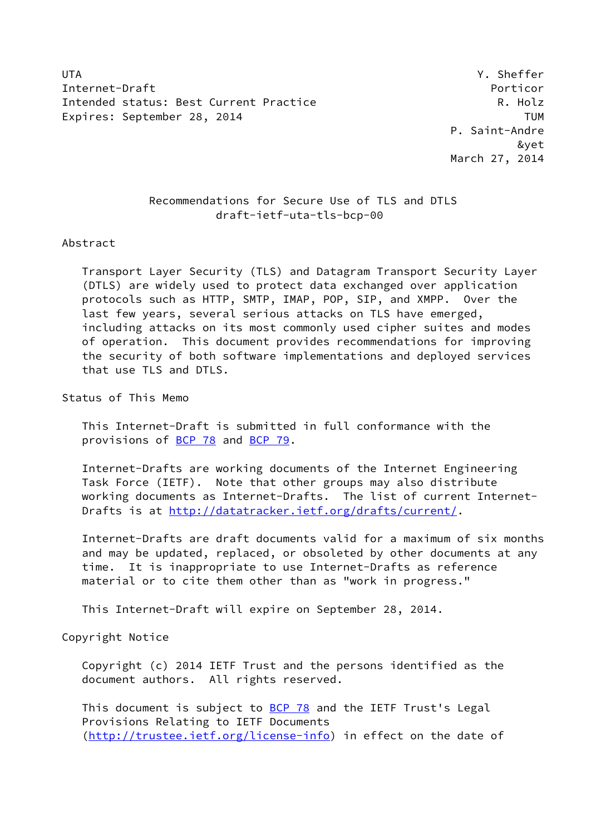UTA **The Contract of the Contract of the Contract of the Contract of the Contract of the Contract of the Contract of the Contract of the Contract of the Contract of the Contract of the Contract of the Contract of the Contr** Internet-Draft Porticor Intended status: Best Current Practice The R. Holz Expires: September 28, 2014 TUM

 P. Saint-Andre &yet March 27, 2014

# Recommendations for Secure Use of TLS and DTLS draft-ietf-uta-tls-bcp-00

### Abstract

 Transport Layer Security (TLS) and Datagram Transport Security Layer (DTLS) are widely used to protect data exchanged over application protocols such as HTTP, SMTP, IMAP, POP, SIP, and XMPP. Over the last few years, several serious attacks on TLS have emerged, including attacks on its most commonly used cipher suites and modes of operation. This document provides recommendations for improving the security of both software implementations and deployed services that use TLS and DTLS.

Status of This Memo

 This Internet-Draft is submitted in full conformance with the provisions of [BCP 78](https://datatracker.ietf.org/doc/pdf/bcp78) and [BCP 79](https://datatracker.ietf.org/doc/pdf/bcp79).

 Internet-Drafts are working documents of the Internet Engineering Task Force (IETF). Note that other groups may also distribute working documents as Internet-Drafts. The list of current Internet- Drafts is at<http://datatracker.ietf.org/drafts/current/>.

 Internet-Drafts are draft documents valid for a maximum of six months and may be updated, replaced, or obsoleted by other documents at any time. It is inappropriate to use Internet-Drafts as reference material or to cite them other than as "work in progress."

This Internet-Draft will expire on September 28, 2014.

Copyright Notice

 Copyright (c) 2014 IETF Trust and the persons identified as the document authors. All rights reserved.

This document is subject to **[BCP 78](https://datatracker.ietf.org/doc/pdf/bcp78)** and the IETF Trust's Legal Provisions Relating to IETF Documents [\(http://trustee.ietf.org/license-info](http://trustee.ietf.org/license-info)) in effect on the date of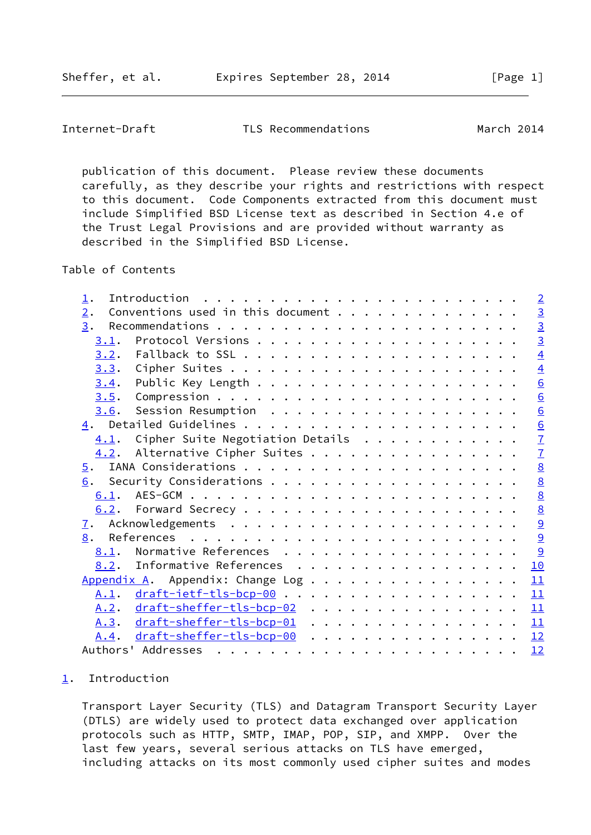<span id="page-1-1"></span>Internet-Draft TLS Recommendations March 2014

 publication of this document. Please review these documents carefully, as they describe your rights and restrictions with respect to this document. Code Components extracted from this document must include Simplified BSD License text as described in Section 4.e of the Trust Legal Provisions and are provided without warranty as described in the Simplified BSD License.

Table of Contents

| $\mathbf 1$ .    |                                               | $\overline{2}$   |
|------------------|-----------------------------------------------|------------------|
| 2.               | Conventions used in this document             | $\frac{3}{3}$    |
| 3.               |                                               |                  |
| 3.1.             |                                               | $\overline{3}$   |
| 3.2.             |                                               | $\overline{4}$   |
| 3.3.             |                                               | $\overline{4}$   |
| 3.4.             |                                               | $\underline{6}$  |
|                  |                                               | 6                |
| 3.6.             |                                               | $6 \overline{6}$ |
|                  |                                               | $\frac{6}{7}$    |
| 4.1.             | Cipher Suite Negotiation Details              |                  |
|                  | $\underline{4.2}$ . Alternative Cipher Suites | $\overline{1}$   |
| $\overline{5}$ . |                                               | 8                |
| 6.               |                                               | $\underline{8}$  |
|                  |                                               | $\underline{8}$  |
|                  |                                               | $\underline{8}$  |
| $\mathbf{I}$ .   |                                               | $\overline{9}$   |
| 8.               |                                               | $\overline{9}$   |
| 8.1.             | Normative References                          | 9                |
| 8.2.             | Informative References                        | 10               |
|                  | Appendix A. Appendix: Change Log              | 11               |
| <u>A.1</u> .     | $draff-ietf-tls-bcp-00$                       | 11               |
|                  | A.2. draft-sheffer-tls-bcp-02                 | 11               |
|                  | A.3. draft-sheffer-tls-bcp-01                 | 11               |
| A.4.             | $draff$ -sheffer-tls-bcp-00                   | 12               |
|                  |                                               | 12               |

### <span id="page-1-0"></span>[1](#page-1-0). Introduction

 Transport Layer Security (TLS) and Datagram Transport Security Layer (DTLS) are widely used to protect data exchanged over application protocols such as HTTP, SMTP, IMAP, POP, SIP, and XMPP. Over the last few years, several serious attacks on TLS have emerged, including attacks on its most commonly used cipher suites and modes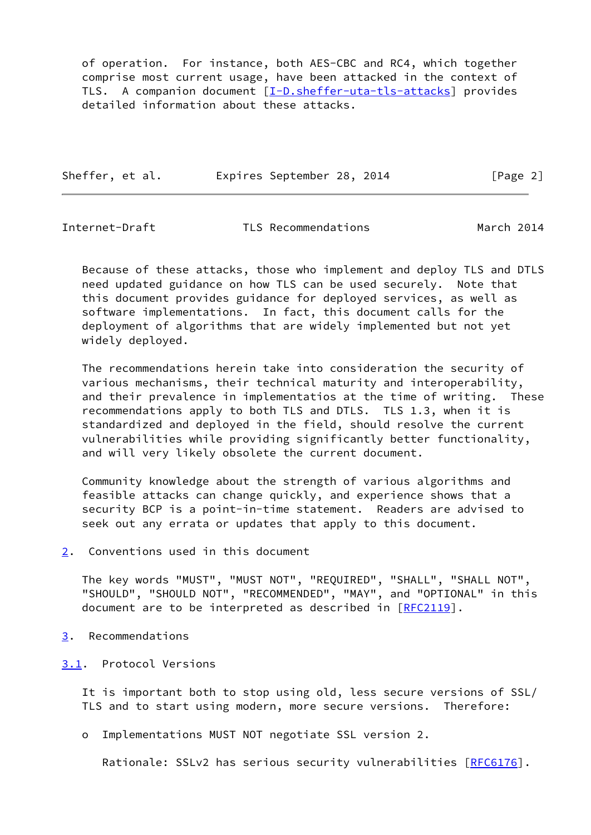of operation. For instance, both AES-CBC and RC4, which together comprise most current usage, have been attacked in the context of TLS. A companion document [[I-D.sheffer-uta-tls-attacks\]](#page-10-2) provides detailed information about these attacks.

| Sheffer, et al. | Expires September 28, 2014 |  | [Page 2] |  |
|-----------------|----------------------------|--|----------|--|
|                 |                            |  |          |  |

<span id="page-2-1"></span>Internet-Draft TLS Recommendations March 2014

 Because of these attacks, those who implement and deploy TLS and DTLS need updated guidance on how TLS can be used securely. Note that this document provides guidance for deployed services, as well as software implementations. In fact, this document calls for the deployment of algorithms that are widely implemented but not yet widely deployed.

 The recommendations herein take into consideration the security of various mechanisms, their technical maturity and interoperability, and their prevalence in implementatios at the time of writing. These recommendations apply to both TLS and DTLS. TLS 1.3, when it is standardized and deployed in the field, should resolve the current vulnerabilities while providing significantly better functionality, and will very likely obsolete the current document.

 Community knowledge about the strength of various algorithms and feasible attacks can change quickly, and experience shows that a security BCP is a point-in-time statement. Readers are advised to seek out any errata or updates that apply to this document.

<span id="page-2-0"></span>[2](#page-2-0). Conventions used in this document

 The key words "MUST", "MUST NOT", "REQUIRED", "SHALL", "SHALL NOT", "SHOULD", "SHOULD NOT", "RECOMMENDED", "MAY", and "OPTIONAL" in this document are to be interpreted as described in [\[RFC2119](https://datatracker.ietf.org/doc/pdf/rfc2119)].

- <span id="page-2-2"></span>[3](#page-2-2). Recommendations
- <span id="page-2-3"></span>[3.1](#page-2-3). Protocol Versions

 It is important both to stop using old, less secure versions of SSL/ TLS and to start using modern, more secure versions. Therefore:

o Implementations MUST NOT negotiate SSL version 2.

Rationale: SSLv2 has serious security vulnerabilities [\[RFC6176](https://datatracker.ietf.org/doc/pdf/rfc6176)].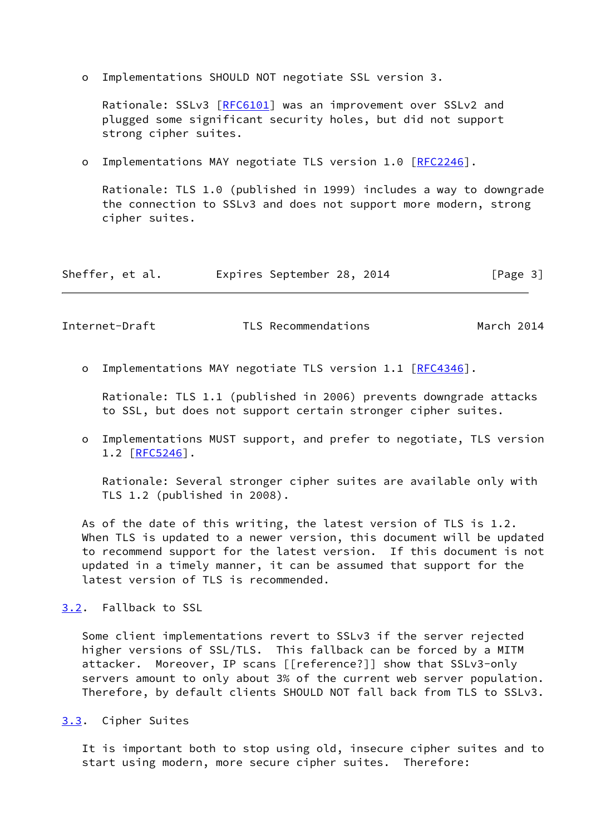o Implementations SHOULD NOT negotiate SSL version 3.

Rationale: SSLv3 [\[RFC6101](https://datatracker.ietf.org/doc/pdf/rfc6101)] was an improvement over SSLv2 and plugged some significant security holes, but did not support strong cipher suites.

o Implementations MAY negotiate TLS version 1.0 [\[RFC2246](https://datatracker.ietf.org/doc/pdf/rfc2246)].

 Rationale: TLS 1.0 (published in 1999) includes a way to downgrade the connection to SSLv3 and does not support more modern, strong cipher suites.

| Sheffer, et al. |  | Expires September 28, 2014 |  |  | [Page 3] |  |
|-----------------|--|----------------------------|--|--|----------|--|
|-----------------|--|----------------------------|--|--|----------|--|

<span id="page-3-1"></span>Internet-Draft TLS Recommendations March 2014

o Implementations MAY negotiate TLS version 1.1 [\[RFC4346](https://datatracker.ietf.org/doc/pdf/rfc4346)].

 Rationale: TLS 1.1 (published in 2006) prevents downgrade attacks to SSL, but does not support certain stronger cipher suites.

 o Implementations MUST support, and prefer to negotiate, TLS version 1.2 [\[RFC5246](https://datatracker.ietf.org/doc/pdf/rfc5246)].

 Rationale: Several stronger cipher suites are available only with TLS 1.2 (published in 2008).

 As of the date of this writing, the latest version of TLS is 1.2. When TLS is updated to a newer version, this document will be updated to recommend support for the latest version. If this document is not updated in a timely manner, it can be assumed that support for the latest version of TLS is recommended.

<span id="page-3-0"></span>[3.2](#page-3-0). Fallback to SSL

 Some client implementations revert to SSLv3 if the server rejected higher versions of SSL/TLS. This fallback can be forced by a MITM attacker. Moreover, IP scans [[reference?]] show that SSLv3-only servers amount to only about 3% of the current web server population. Therefore, by default clients SHOULD NOT fall back from TLS to SSLv3.

<span id="page-3-2"></span>[3.3](#page-3-2). Cipher Suites

 It is important both to stop using old, insecure cipher suites and to start using modern, more secure cipher suites. Therefore: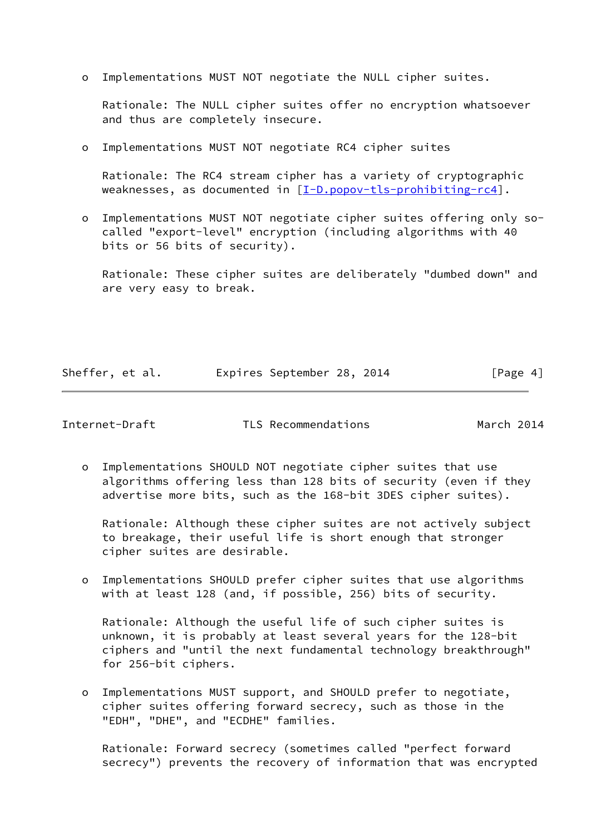o Implementations MUST NOT negotiate the NULL cipher suites.

 Rationale: The NULL cipher suites offer no encryption whatsoever and thus are completely insecure.

o Implementations MUST NOT negotiate RC4 cipher suites

 Rationale: The RC4 stream cipher has a variety of cryptographic weaknesses, as documented in [\[I-D.popov-tls-prohibiting-rc4](#page-10-3)].

 o Implementations MUST NOT negotiate cipher suites offering only so called "export-level" encryption (including algorithms with 40 bits or 56 bits of security).

 Rationale: These cipher suites are deliberately "dumbed down" and are very easy to break.

Sheffer, et al. Expires September 28, 2014 [Page 4]

Internet-Draft TLS Recommendations March 2014

 o Implementations SHOULD NOT negotiate cipher suites that use algorithms offering less than 128 bits of security (even if they advertise more bits, such as the 168-bit 3DES cipher suites).

 Rationale: Although these cipher suites are not actively subject to breakage, their useful life is short enough that stronger cipher suites are desirable.

 o Implementations SHOULD prefer cipher suites that use algorithms with at least 128 (and, if possible, 256) bits of security.

 Rationale: Although the useful life of such cipher suites is unknown, it is probably at least several years for the 128-bit ciphers and "until the next fundamental technology breakthrough" for 256-bit ciphers.

 o Implementations MUST support, and SHOULD prefer to negotiate, cipher suites offering forward secrecy, such as those in the "EDH", "DHE", and "ECDHE" families.

 Rationale: Forward secrecy (sometimes called "perfect forward secrecy") prevents the recovery of information that was encrypted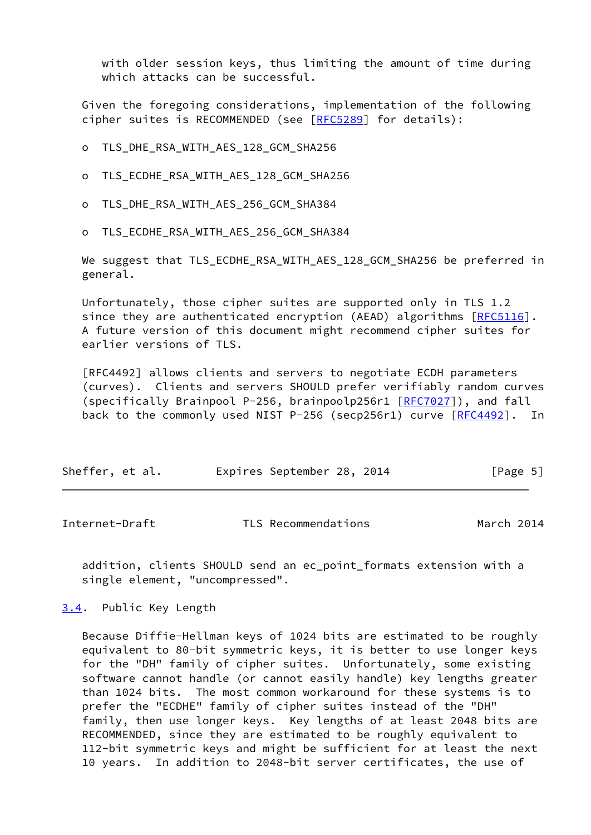with older session keys, thus limiting the amount of time during which attacks can be successful.

 Given the foregoing considerations, implementation of the following cipher suites is RECOMMENDED (see [[RFC5289](https://datatracker.ietf.org/doc/pdf/rfc5289)] for details):

- o TLS\_DHE\_RSA\_WITH\_AES\_128\_GCM\_SHA256
- o TLS\_ECDHE\_RSA\_WITH\_AES\_128\_GCM\_SHA256
- o TLS\_DHE\_RSA\_WITH\_AES\_256\_GCM\_SHA384
- o TLS\_ECDHE\_RSA\_WITH\_AES\_256\_GCM\_SHA384

 We suggest that TLS\_ECDHE\_RSA\_WITH\_AES\_128\_GCM\_SHA256 be preferred in general.

 Unfortunately, those cipher suites are supported only in TLS 1.2 since they are authenticated encryption (AEAD) algorithms [[RFC5116](https://datatracker.ietf.org/doc/pdf/rfc5116)]. A future version of this document might recommend cipher suites for earlier versions of TLS.

 [RFC4492] allows clients and servers to negotiate ECDH parameters (curves). Clients and servers SHOULD prefer verifiably random curves (specifically Brainpool P-256, brainpoolp256r1 [\[RFC7027](https://datatracker.ietf.org/doc/pdf/rfc7027)]), and fall back to the commonly used NIST P-256 (secp256r1) curve [\[RFC4492](https://datatracker.ietf.org/doc/pdf/rfc4492)]. In

| Sheffer, et al. |  | Expires September 28, 2014 |  |  |  | [Page 5] |  |
|-----------------|--|----------------------------|--|--|--|----------|--|
|-----------------|--|----------------------------|--|--|--|----------|--|

<span id="page-5-1"></span>Internet-Draft TLS Recommendations March 2014

 addition, clients SHOULD send an ec\_point\_formats extension with a single element, "uncompressed".

<span id="page-5-0"></span>[3.4](#page-5-0). Public Key Length

 Because Diffie-Hellman keys of 1024 bits are estimated to be roughly equivalent to 80-bit symmetric keys, it is better to use longer keys for the "DH" family of cipher suites. Unfortunately, some existing software cannot handle (or cannot easily handle) key lengths greater than 1024 bits. The most common workaround for these systems is to prefer the "ECDHE" family of cipher suites instead of the "DH" family, then use longer keys. Key lengths of at least 2048 bits are RECOMMENDED, since they are estimated to be roughly equivalent to 112-bit symmetric keys and might be sufficient for at least the next 10 years. In addition to 2048-bit server certificates, the use of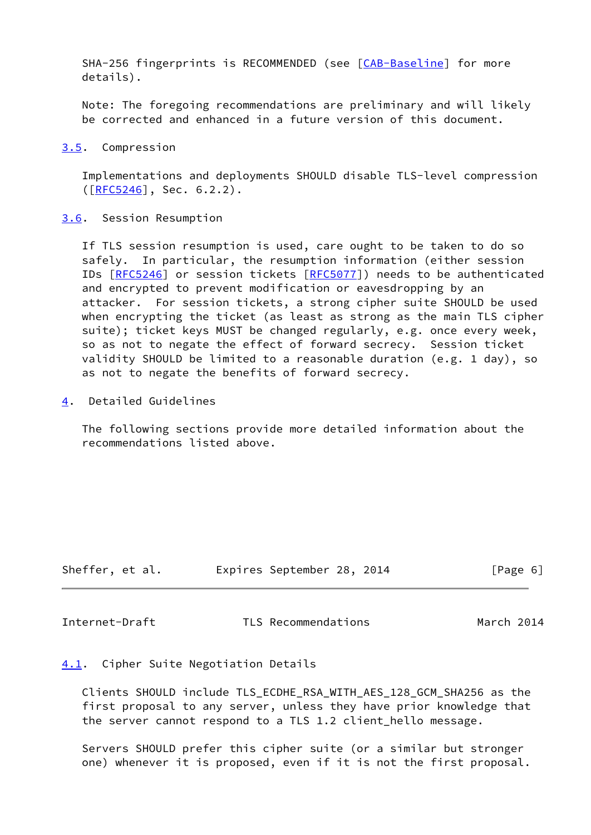SHA-256 fingerprints is RECOMMENDED (see [\[CAB-Baseline](#page-10-4)] for more details).

 Note: The foregoing recommendations are preliminary and will likely be corrected and enhanced in a future version of this document.

<span id="page-6-0"></span>[3.5](#page-6-0). Compression

 Implementations and deployments SHOULD disable TLS-level compression ([\[RFC5246](https://datatracker.ietf.org/doc/pdf/rfc5246)], Sec. 6.2.2).

<span id="page-6-1"></span>[3.6](#page-6-1). Session Resumption

 If TLS session resumption is used, care ought to be taken to do so safely. In particular, the resumption information (either session IDs [\[RFC5246](https://datatracker.ietf.org/doc/pdf/rfc5246)] or session tickets [\[RFC5077](https://datatracker.ietf.org/doc/pdf/rfc5077)]) needs to be authenticated and encrypted to prevent modification or eavesdropping by an attacker. For session tickets, a strong cipher suite SHOULD be used when encrypting the ticket (as least as strong as the main TLS cipher suite); ticket keys MUST be changed regularly, e.g. once every week, so as not to negate the effect of forward secrecy. Session ticket validity SHOULD be limited to a reasonable duration (e.g. 1 day), so as not to negate the benefits of forward secrecy.

<span id="page-6-2"></span>[4](#page-6-2). Detailed Guidelines

 The following sections provide more detailed information about the recommendations listed above.

| Sheffer, et al. |  | Expires September 28, 2014 |  |  | [Page 6] |  |
|-----------------|--|----------------------------|--|--|----------|--|
|-----------------|--|----------------------------|--|--|----------|--|

<span id="page-6-4"></span>Internet-Draft TLS Recommendations March 2014

# <span id="page-6-3"></span>[4.1](#page-6-3). Cipher Suite Negotiation Details

 Clients SHOULD include TLS\_ECDHE\_RSA\_WITH\_AES\_128\_GCM\_SHA256 as the first proposal to any server, unless they have prior knowledge that the server cannot respond to a TLS 1.2 client\_hello message.

 Servers SHOULD prefer this cipher suite (or a similar but stronger one) whenever it is proposed, even if it is not the first proposal.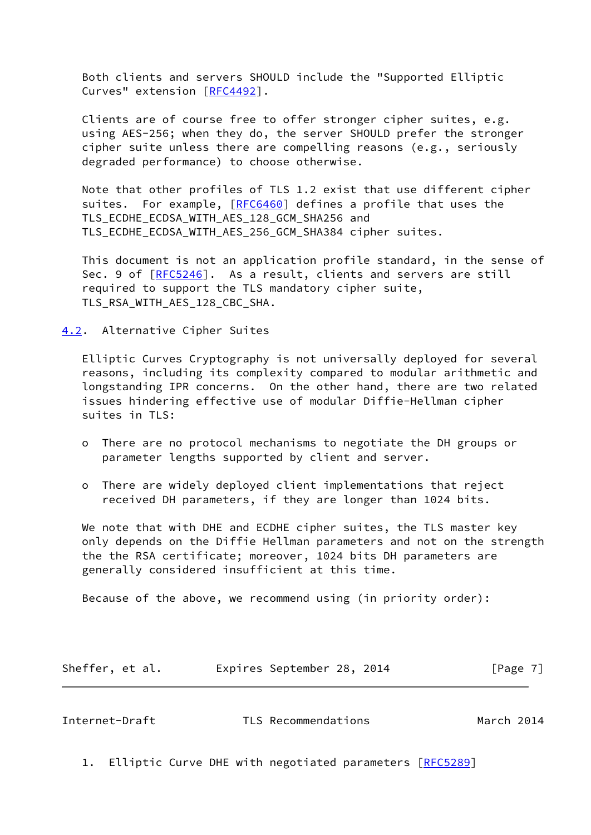Both clients and servers SHOULD include the "Supported Elliptic Curves" extension [[RFC4492](https://datatracker.ietf.org/doc/pdf/rfc4492)].

 Clients are of course free to offer stronger cipher suites, e.g. using AES-256; when they do, the server SHOULD prefer the stronger cipher suite unless there are compelling reasons (e.g., seriously degraded performance) to choose otherwise.

 Note that other profiles of TLS 1.2 exist that use different cipher suites. For example, [[RFC6460](https://datatracker.ietf.org/doc/pdf/rfc6460)] defines a profile that uses the TLS\_ECDHE\_ECDSA\_WITH\_AES\_128\_GCM\_SHA256 and TLS\_ECDHE\_ECDSA\_WITH\_AES\_256\_GCM\_SHA384 cipher suites.

 This document is not an application profile standard, in the sense of Sec. 9 of [[RFC5246](https://datatracker.ietf.org/doc/pdf/rfc5246)]. As a result, clients and servers are still required to support the TLS mandatory cipher suite, TLS\_RSA\_WITH\_AES\_128\_CBC\_SHA.

<span id="page-7-0"></span>[4.2](#page-7-0). Alternative Cipher Suites

 Elliptic Curves Cryptography is not universally deployed for several reasons, including its complexity compared to modular arithmetic and longstanding IPR concerns. On the other hand, there are two related issues hindering effective use of modular Diffie-Hellman cipher suites in TLS:

- o There are no protocol mechanisms to negotiate the DH groups or parameter lengths supported by client and server.
- o There are widely deployed client implementations that reject received DH parameters, if they are longer than 1024 bits.

 We note that with DHE and ECDHE cipher suites, the TLS master key only depends on the Diffie Hellman parameters and not on the strength the the RSA certificate; moreover, 1024 bits DH parameters are generally considered insufficient at this time.

Because of the above, we recommend using (in priority order):

| Sheffer, et al. |  | Expires September 28, 2014 |  |  | [Page 7] |  |
|-----------------|--|----------------------------|--|--|----------|--|
|-----------------|--|----------------------------|--|--|----------|--|

<span id="page-7-1"></span>Internet-Draft TLS Recommendations March 2014

1. Elliptic Curve DHE with negotiated parameters [[RFC5289](https://datatracker.ietf.org/doc/pdf/rfc5289)]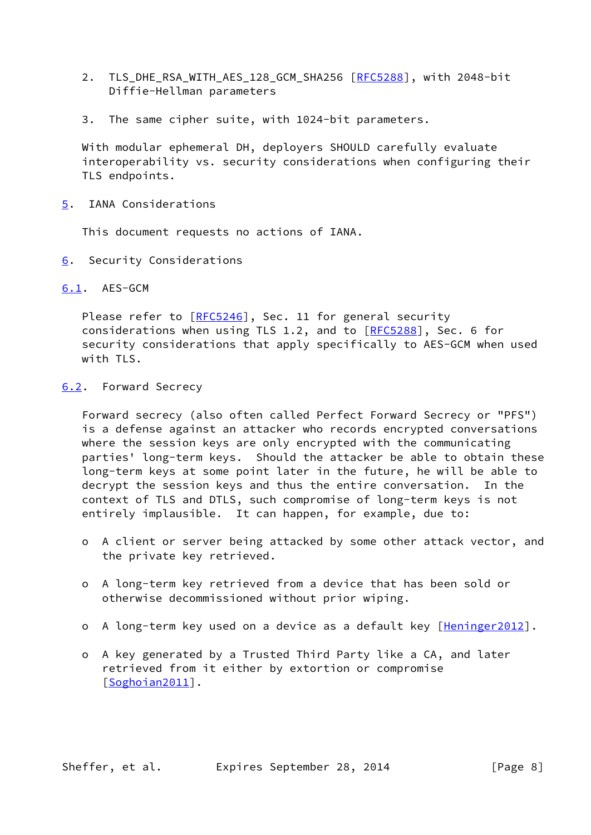- 2. TLS\_DHE\_RSA\_WITH\_AES\_128\_GCM\_SHA256 [\[RFC5288](https://datatracker.ietf.org/doc/pdf/rfc5288)], with 2048-bit Diffie-Hellman parameters
- 3. The same cipher suite, with 1024-bit parameters.

 With modular ephemeral DH, deployers SHOULD carefully evaluate interoperability vs. security considerations when configuring their TLS endpoints.

<span id="page-8-0"></span>[5](#page-8-0). IANA Considerations

This document requests no actions of IANA.

<span id="page-8-1"></span>[6](#page-8-1). Security Considerations

<span id="page-8-2"></span>[6.1](#page-8-2). AES-GCM

Please refer to [\[RFC5246](https://datatracker.ietf.org/doc/pdf/rfc5246)], Sec. 11 for general security considerations when using TLS 1.2, and to [[RFC5288](https://datatracker.ietf.org/doc/pdf/rfc5288)], Sec. 6 for security considerations that apply specifically to AES-GCM when used with TLS.

## <span id="page-8-3"></span>[6.2](#page-8-3). Forward Secrecy

 Forward secrecy (also often called Perfect Forward Secrecy or "PFS") is a defense against an attacker who records encrypted conversations where the session keys are only encrypted with the communicating parties' long-term keys. Should the attacker be able to obtain these long-term keys at some point later in the future, he will be able to decrypt the session keys and thus the entire conversation. In the context of TLS and DTLS, such compromise of long-term keys is not entirely implausible. It can happen, for example, due to:

- o A client or server being attacked by some other attack vector, and the private key retrieved.
- o A long-term key retrieved from a device that has been sold or otherwise decommissioned without prior wiping.
- o A long-term key used on a device as a default key [\[Heninger2012](#page-10-5)].
- o A key generated by a Trusted Third Party like a CA, and later retrieved from it either by extortion or compromise [[Soghoian2011\]](#page-11-4).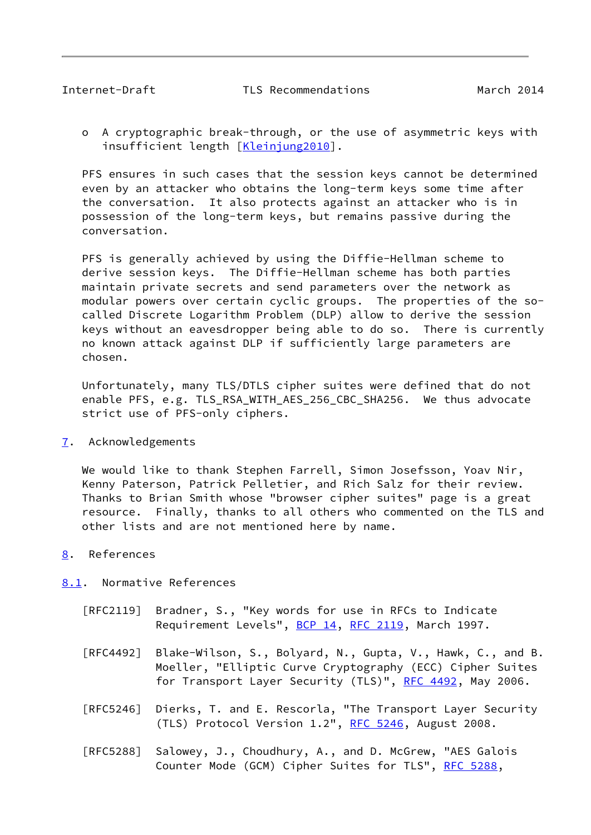<span id="page-9-1"></span> o A cryptographic break-through, or the use of asymmetric keys with insufficient length [\[Kleinjung2010](#page-10-6)].

 PFS ensures in such cases that the session keys cannot be determined even by an attacker who obtains the long-term keys some time after the conversation. It also protects against an attacker who is in possession of the long-term keys, but remains passive during the conversation.

 PFS is generally achieved by using the Diffie-Hellman scheme to derive session keys. The Diffie-Hellman scheme has both parties maintain private secrets and send parameters over the network as modular powers over certain cyclic groups. The properties of the so called Discrete Logarithm Problem (DLP) allow to derive the session keys without an eavesdropper being able to do so. There is currently no known attack against DLP if sufficiently large parameters are chosen.

 Unfortunately, many TLS/DTLS cipher suites were defined that do not enable PFS, e.g. TLS\_RSA\_WITH\_AES\_256\_CBC\_SHA256. We thus advocate strict use of PFS-only ciphers.

<span id="page-9-0"></span>[7](#page-9-0). Acknowledgements

 We would like to thank Stephen Farrell, Simon Josefsson, Yoav Nir, Kenny Paterson, Patrick Pelletier, and Rich Salz for their review. Thanks to Brian Smith whose "browser cipher suites" page is a great resource. Finally, thanks to all others who commented on the TLS and other lists and are not mentioned here by name.

<span id="page-9-2"></span>[8](#page-9-2). References

<span id="page-9-3"></span>[8.1](#page-9-3). Normative References

- [RFC2119] Bradner, S., "Key words for use in RFCs to Indicate Requirement Levels", [BCP 14](https://datatracker.ietf.org/doc/pdf/bcp14), [RFC 2119](https://datatracker.ietf.org/doc/pdf/rfc2119), March 1997.
- [RFC4492] Blake-Wilson, S., Bolyard, N., Gupta, V., Hawk, C., and B. Moeller, "Elliptic Curve Cryptography (ECC) Cipher Suites for Transport Layer Security (TLS)", [RFC 4492](https://datatracker.ietf.org/doc/pdf/rfc4492), May 2006.
- [RFC5246] Dierks, T. and E. Rescorla, "The Transport Layer Security (TLS) Protocol Version 1.2", [RFC 5246](https://datatracker.ietf.org/doc/pdf/rfc5246), August 2008.
- [RFC5288] Salowey, J., Choudhury, A., and D. McGrew, "AES Galois Counter Mode (GCM) Cipher Suites for TLS", [RFC 5288](https://datatracker.ietf.org/doc/pdf/rfc5288),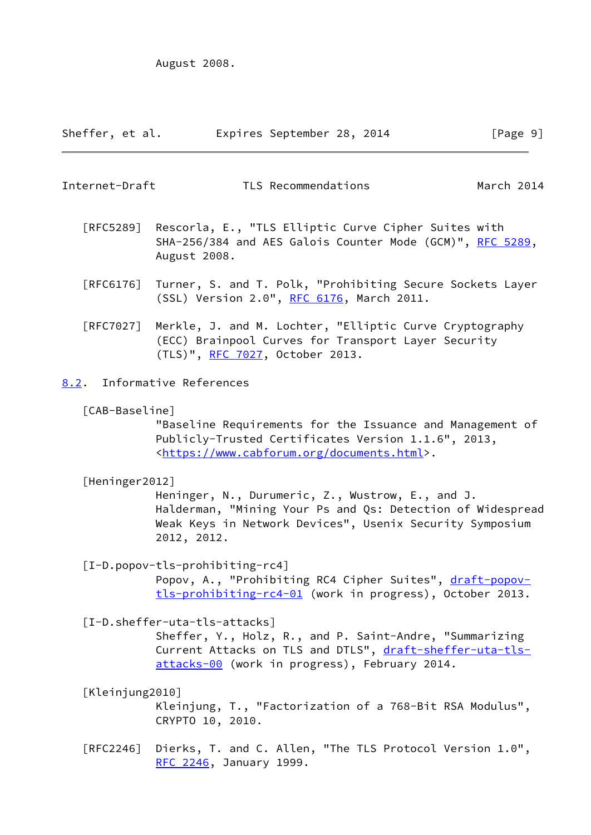August 2008.

| Sheffer, et al. | Expires September 28, 2014 |  | [Page 9] |  |
|-----------------|----------------------------|--|----------|--|
|                 |                            |  |          |  |

<span id="page-10-1"></span>Internet-Draft TLS Recommendations March 2014

- [RFC5289] Rescorla, E., "TLS Elliptic Curve Cipher Suites with SHA-256/384 and AES Galois Counter Mode (GCM)", [RFC 5289,](https://datatracker.ietf.org/doc/pdf/rfc5289) August 2008.
- [RFC6176] Turner, S. and T. Polk, "Prohibiting Secure Sockets Layer (SSL) Version 2.0", [RFC 6176,](https://datatracker.ietf.org/doc/pdf/rfc6176) March 2011.
- [RFC7027] Merkle, J. and M. Lochter, "Elliptic Curve Cryptography (ECC) Brainpool Curves for Transport Layer Security (TLS)", [RFC 7027,](https://datatracker.ietf.org/doc/pdf/rfc7027) October 2013.
- <span id="page-10-4"></span><span id="page-10-0"></span>[8.2](#page-10-0). Informative References
	- [CAB-Baseline]

 "Baseline Requirements for the Issuance and Management of Publicly-Trusted Certificates Version 1.1.6", 2013, <[https://www.cabforum.org/documents.html>](https://www.cabforum.org/documents.html).

<span id="page-10-5"></span>[Heninger2012]

 Heninger, N., Durumeric, Z., Wustrow, E., and J. Halderman, "Mining Your Ps and Qs: Detection of Widespread Weak Keys in Network Devices", Usenix Security Symposium 2012, 2012.

<span id="page-10-3"></span>[I-D.popov-tls-prohibiting-rc4]

Popov, A., "Prohibiting RC4 Cipher Suites", [draft-popov](https://datatracker.ietf.org/doc/pdf/draft-popov-tls-prohibiting-rc4-01) [tls-prohibiting-rc4-01](https://datatracker.ietf.org/doc/pdf/draft-popov-tls-prohibiting-rc4-01) (work in progress), October 2013.

<span id="page-10-2"></span>[I-D.sheffer-uta-tls-attacks]

 Sheffer, Y., Holz, R., and P. Saint-Andre, "Summarizing Current Attacks on TLS and DTLS", [draft-sheffer-uta-tls](https://datatracker.ietf.org/doc/pdf/draft-sheffer-uta-tls-attacks-00) [attacks-00](https://datatracker.ietf.org/doc/pdf/draft-sheffer-uta-tls-attacks-00) (work in progress), February 2014.

<span id="page-10-6"></span>[Kleinjung2010]

 Kleinjung, T., "Factorization of a 768-Bit RSA Modulus", CRYPTO 10, 2010.

 [RFC2246] Dierks, T. and C. Allen, "The TLS Protocol Version 1.0", [RFC 2246,](https://datatracker.ietf.org/doc/pdf/rfc2246) January 1999.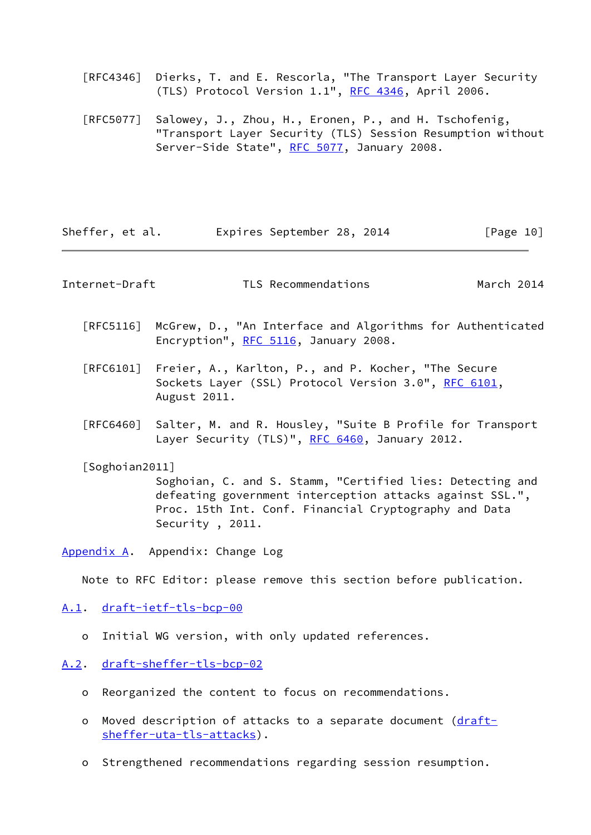[RFC4346] Dierks, T. and E. Rescorla, "The Transport Layer Security (TLS) Protocol Version 1.1", [RFC 4346](https://datatracker.ietf.org/doc/pdf/rfc4346), April 2006.

 [RFC5077] Salowey, J., Zhou, H., Eronen, P., and H. Tschofenig, "Transport Layer Security (TLS) Session Resumption without Server-Side State", [RFC 5077,](https://datatracker.ietf.org/doc/pdf/rfc5077) January 2008.

Sheffer, et al. Expires September 28, 2014 [Page 10]

<span id="page-11-1"></span>Internet-Draft TLS Recommendations March 2014

- [RFC5116] McGrew, D., "An Interface and Algorithms for Authenticated Encryption", [RFC 5116](https://datatracker.ietf.org/doc/pdf/rfc5116), January 2008.
- [RFC6101] Freier, A., Karlton, P., and P. Kocher, "The Secure Sockets Layer (SSL) Protocol Version 3.0", [RFC 6101](https://datatracker.ietf.org/doc/pdf/rfc6101), August 2011.
- [RFC6460] Salter, M. and R. Housley, "Suite B Profile for Transport Layer Security (TLS)", [RFC 6460](https://datatracker.ietf.org/doc/pdf/rfc6460), January 2012.

<span id="page-11-4"></span>[Soghoian2011]

 Soghoian, C. and S. Stamm, "Certified lies: Detecting and defeating government interception attacks against SSL.", Proc. 15th Int. Conf. Financial Cryptography and Data Security , 2011.

<span id="page-11-0"></span>[Appendix A.](#page-11-0) Appendix: Change Log

Note to RFC Editor: please remove this section before publication.

## <span id="page-11-2"></span>[A.1](#page-11-2). [draft-ietf-tls-bcp-00](https://datatracker.ietf.org/doc/pdf/draft-ietf-tls-bcp-00)

- o Initial WG version, with only updated references.
- <span id="page-11-3"></span>[A.2](#page-11-3). [draft-sheffer-tls-bcp-02](https://datatracker.ietf.org/doc/pdf/draft-sheffer-tls-bcp-02)
	- o Reorganized the content to focus on recommendations.
	- o Moved description of attacks to a separate document [\(draft](https://datatracker.ietf.org/doc/pdf/draft-sheffer-uta-tls-attacks) [sheffer-uta-tls-attacks](https://datatracker.ietf.org/doc/pdf/draft-sheffer-uta-tls-attacks)).
	- o Strengthened recommendations regarding session resumption.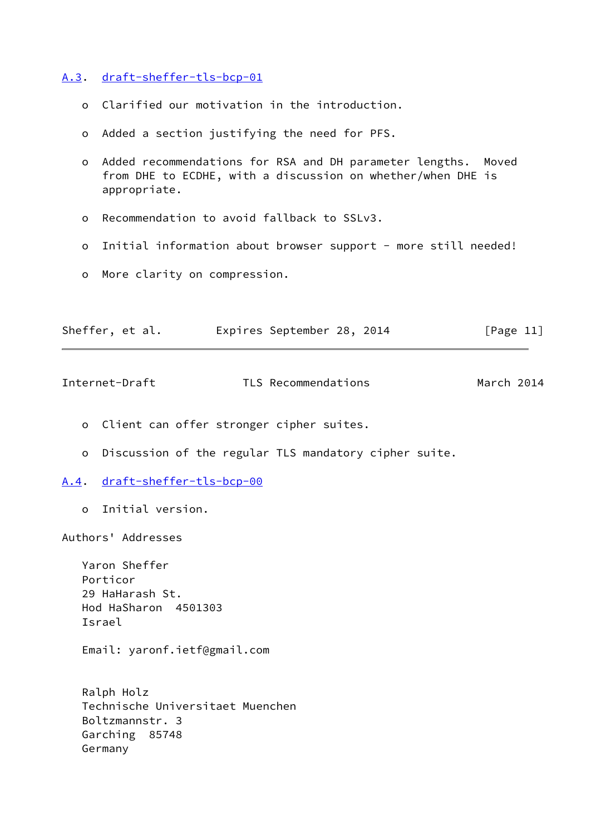<span id="page-12-0"></span>[A.3](#page-12-0). [draft-sheffer-tls-bcp-01](https://datatracker.ietf.org/doc/pdf/draft-sheffer-tls-bcp-01)

- o Clarified our motivation in the introduction.
- o Added a section justifying the need for PFS.
- o Added recommendations for RSA and DH parameter lengths. Moved from DHE to ECDHE, with a discussion on whether/when DHE is appropriate.
- o Recommendation to avoid fallback to SSLv3.
- o Initial information about browser support more still needed!
- o More clarity on compression.

| Sheffer, et al. |  | Expires September 28, 2014 |  |  | [Page 11] |
|-----------------|--|----------------------------|--|--|-----------|
|-----------------|--|----------------------------|--|--|-----------|

<span id="page-12-2"></span>

| Internet-Draft | TLS Recommendations | March 2014 |
|----------------|---------------------|------------|
|----------------|---------------------|------------|

o Client can offer stronger cipher suites.

o Discussion of the regular TLS mandatory cipher suite.

- <span id="page-12-1"></span>[A.4](#page-12-1). [draft-sheffer-tls-bcp-00](https://datatracker.ietf.org/doc/pdf/draft-sheffer-tls-bcp-00)
	- o Initial version.

Authors' Addresses

 Yaron Sheffer Porticor 29 HaHarash St. Hod HaSharon 4501303 Israel

Email: yaronf.ietf@gmail.com

 Ralph Holz Technische Universitaet Muenchen Boltzmannstr. 3 Garching 85748 Germany